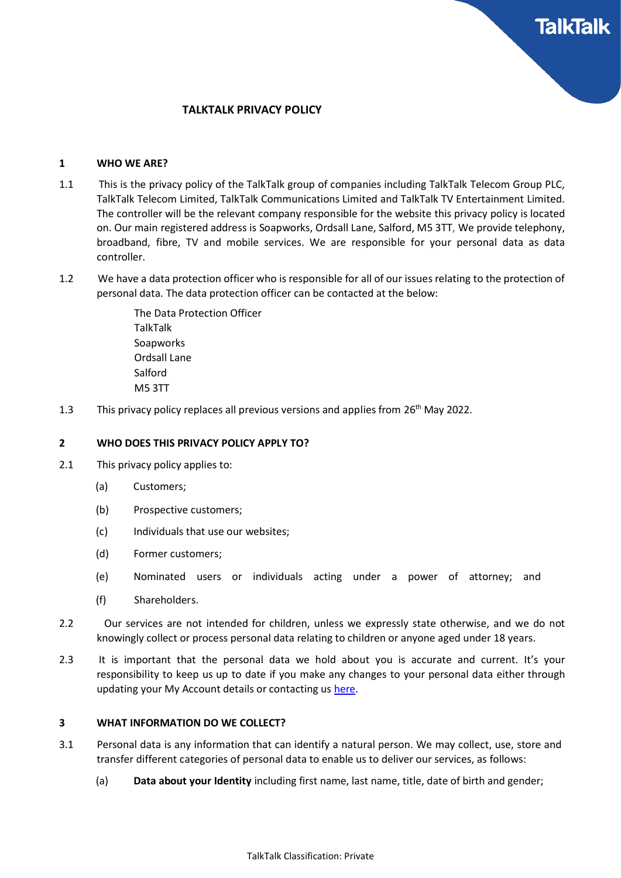# TALKTALK PRIVACY POLICY

### 1 WHO WE ARE?

- 1.1 This is the privacy policy of the TalkTalk group of companies including TalkTalk Telecom Group PLC, TalkTalk Telecom Limited, TalkTalk Communications Limited and TalkTalk TV Entertainment Limited. The controller will be the relevant company responsible for the website this privacy policy is located on. Our main registered address is Soapworks, Ordsall Lane, Salford, M5 3TT, We provide telephony, broadband, fibre, TV and mobile services. We are responsible for your personal data as data controller.
- 1.2 We have a data protection officer who is responsible for all of our issues relating to the protection of personal data. The data protection officer can be contacted at the below:

The Data Protection Officer TalkTalk **Soapworks** Ordsall Lane **Salford** M5 3TT

1.3 This privacy policy replaces all previous versions and applies from  $26<sup>th</sup>$  May 2022.

### 2 WHO DOES THIS PRIVACY POLICY APPLY TO?

- 2.1 This privacy policy applies to:
	- (a) Customers;
	- (b) Prospective customers;
	- (c) Individuals that use our websites;
	- (d) Former customers;
	- (e) Nominated users or individuals acting under a power of attorney; and
	- (f) Shareholders.
- 2.2 Our services are not intended for children, unless we expressly state otherwise, and we do not knowingly collect or process personal data relating to children or anyone aged under 18 years.
- 2.3 It is important that the personal data we hold about you is accurate and current. It's your responsibility to keep us up to date if you make any changes to your personal data either through updating your My Account details or contacting us [here.](https://community.talktalk.co.uk/t5/Contact-us/bd-p/tta-contact)

#### 3 WHAT INFORMATION DO WE COLLECT?

- 3.1 Personal data is any information that can identify a natural person. We may collect, use, store and transfer different categories of personal data to enable us to deliver our services, as follows:
	- (a) Data about your Identity including first name, last name, title, date of birth and gender;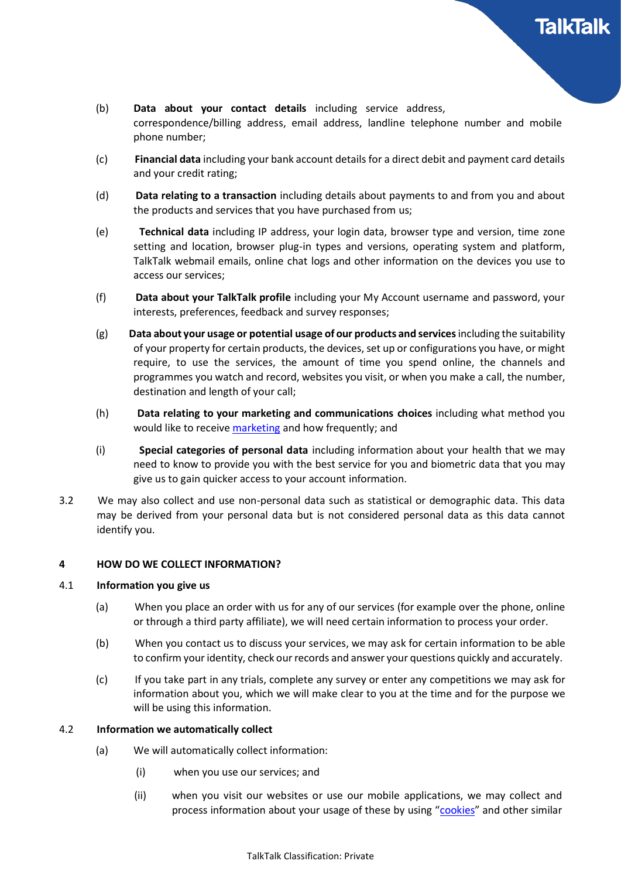- (b) Data about your contact details including service address, correspondence/billing address, email address, landline telephone number and mobile phone number;
- (c) Financial data including your bank account details for a direct debit and payment card details and your credit rating;
- (d) **Data relating to a transaction** including details about payments to and from you and about the products and services that you have purchased from us;
- (e) Technical data including IP address, your login data, browser type and version, time zone setting and location, browser plug-in types and versions, operating system and platform, TalkTalk webmail emails, online chat logs and other information on the devices you use to access our services;
- (f) Data about your TalkTalk profile including your My Account username and password, your interests, preferences, feedback and survey responses;
- (g) Data about your usage or potential usage of our products and services including the suitability of your property for certain products, the devices, set up or configurations you have, or might require, to use the services, the amount of time you spend online, the channels and programmes you watch and record, websites you visit, or when you make a call, the number, destination and length of your call;
- (h) Data relating to your marketing and communications choices including what method you would like to receive [marketing](https://community.talktalk.co.uk/t5/Articles/Manage-your-marketing-preferences/ta-p/2204912) and how frequently; and
- (i) Special categories of personal data including information about your health that we may need to know to provide you with the best service for you and biometric data that you may give us to gain quicker access to your account information.
- 3.2 We may also collect and use non-personal data such as statistical or demographic data. This data may be derived from your personal data but is not considered personal data as this data cannot identify you.

## 4 HOW DO WE COLLECT INFORMATION?

## 4.1 Information you give us

- (a) When you place an order with us for any of our services (for example over the phone, online or through a third party affiliate), we will need certain information to process your order.
- (b) When you contact us to discuss your services, we may ask for certain information to be able to confirm your identity, check our records and answer your questions quickly and accurately.
- (c) If you take part in any trials, complete any survey or enter any competitions we may ask for information about you, which we will make clear to you at the time and for the purpose we will be using this information.

## 4.2 Information we automatically collect

- (a) We will automatically collect information:
	- (i) when you use our services; and
	- (ii) when you visit our websites or use our mobile applications, we may collect and process information about your usage of these by using ["cookies"](http://www.talktalk.co.uk/legal/our-cookie-policy.html) and other similar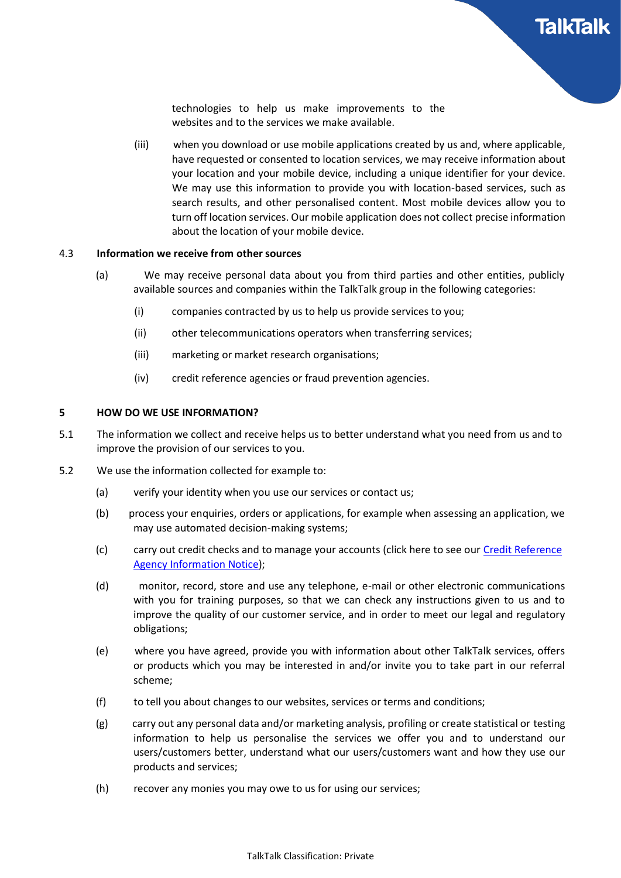technologies to help us make improvements to the websites and to the services we make available.

(iii) when you download or use mobile applications created by us and, where applicable, have requested or consented to location services, we may receive information about your location and your mobile device, including a unique identifier for your device. We may use this information to provide you with location-based services, such as search results, and other personalised content. Most mobile devices allow you to turn off location services. Our mobile application does not collect precise information about the location of your mobile device.

## 4.3 Information we receive from other sources

- (a) We may receive personal data about you from third parties and other entities, publicly available sources and companies within the TalkTalk group in the following categories:
	- (i) companies contracted by us to help us provide services to you;
	- (ii) other telecommunications operators when transferring services;
	- (iii) marketing or market research organisations;
	- (iv) credit reference agencies or fraud prevention agencies.

## 5 HOW DO WE USE INFORMATION?

- 5.1 The information we collect and receive helps us to better understand what you need from us and to improve the provision of our services to you.
- 5.2 We use the information collected for example to:
	- (a) verify your identity when you use our services or contact us;
	- (b) process your enquiries, orders or applications, for example when assessing an application, we may use automated decision-making systems;
	- (c) carry out credit checks and to manage your accounts (click here to see our [Credit Reference](https://www.equifax.co.uk/crain) [Agency Information Notice\)](https://www.equifax.co.uk/crain);
	- (d) monitor, record, store and use any telephone, e-mail or other electronic communications with you for training purposes, so that we can check any instructions given to us and to improve the quality of our customer service, and in order to meet our legal and regulatory obligations;
	- (e) where you have agreed, provide you with information about other TalkTalk services, offers or products which you may be interested in and/or invite you to take part in our referral scheme;
	- (f) to tell you about changes to our websites, services or terms and conditions;
	- (g) carry out any personal data and/or marketing analysis, profiling or create statistical or testing information to help us personalise the services we offer you and to understand our users/customers better, understand what our users/customers want and how they use our products and services;
	- (h) recover any monies you may owe to us for using our services;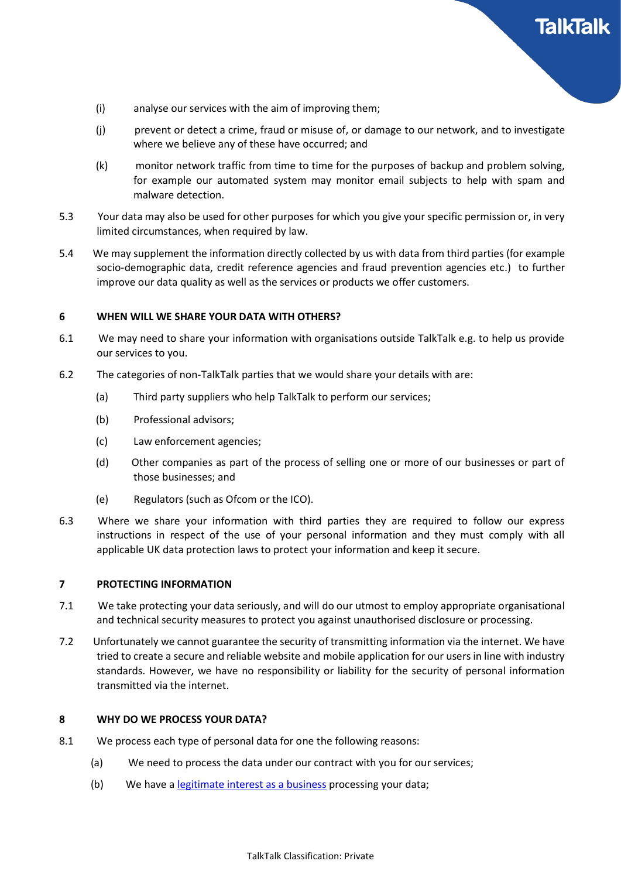

- (i) analyse our services with the aim of improving them;
- (j) prevent or detect a crime, fraud or misuse of, or damage to our network, and to investigate where we believe any of these have occurred; and
- (k) monitor network traffic from time to time for the purposes of backup and problem solving, for example our automated system may monitor email subjects to help with spam and malware detection.
- 5.3 Your data may also be used for other purposes for which you give your specific permission or, in very limited circumstances, when required by law.
- 5.4 We may supplement the information directly collected by us with data from third parties (for example socio-demographic data, credit reference agencies and fraud prevention agencies etc.) to further improve our data quality as well as the services or products we offer customers.

#### 6 WHEN WILL WE SHARE YOUR DATA WITH OTHERS?

- 6.1 We may need to share your information with organisations outside TalkTalk e.g. to help us provide our services to you.
- 6.2 The categories of non-TalkTalk parties that we would share your details with are:
	- (a) Third party suppliers who help TalkTalk to perform our services;
	- (b) Professional advisors;
	- (c) Law enforcement agencies;
	- (d) Other companies as part of the process of selling one or more of our businesses or part of those businesses; and
	- (e) Regulators (such as Ofcom or the ICO).
- 6.3 Where we share your information with third parties they are required to follow our express instructions in respect of the use of your personal information and they must comply with all applicable UK data protection laws to protect your information and keep it secure.

### 7 PROTECTING INFORMATION

- 7.1 We take protecting your data seriously, and will do our utmost to employ appropriate organisational and technical security measures to protect you against unauthorised disclosure or processing.
- 7.2 Unfortunately we cannot guarantee the security of transmitting information via the internet. We have tried to create a secure and reliable website and mobile application for our users in line with industry standards. However, we have no responsibility or liability for the security of personal information transmitted via the internet.

#### 8 WHY DO WE PROCESS YOUR DATA?

- 8.1 We process each type of personal data for one the following reasons:
	- (a) We need to process the data under our contract with you for our services;
	- (b) We have a [legitimate interest as a business](https://new.talktalk.co.uk/legal/legitimate-interest-groups) processing your data;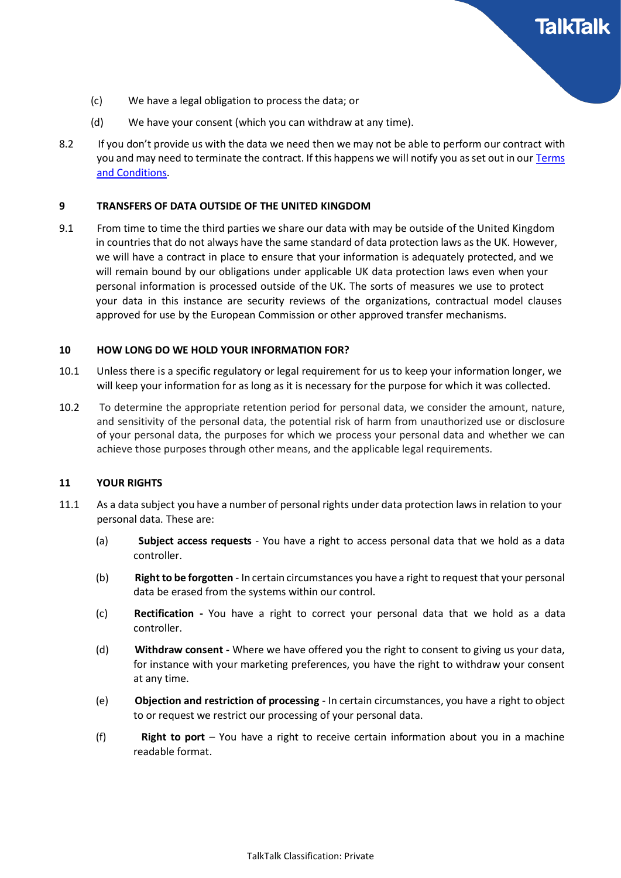

- (c) We have a legal obligation to process the data; or
- (d) We have your consent (which you can withdraw at any time).
- 8.2 If you don't provide us with the data we need then we may not be able to perform our contract with you and may need to terminate the contract. If this happens we will notify you as set out in our Terms [and Conditions.](http://www.talktalk.co.uk/legal/terms/talktalk-product-terms.html)

### 9 TRANSFERS OF DATA OUTSIDE OF THE UNITED KINGDOM

9.1 From time to time the third parties we share our data with may be outside of the United Kingdom in countries that do not always have the same standard of data protection laws as the UK. However, we will have a contract in place to ensure that your information is adequately protected, and we will remain bound by our obligations under applicable UK data protection laws even when your personal information is processed outside of the UK. The sorts of measures we use to protect your data in this instance are security reviews of the organizations, contractual model clauses approved for use by the European Commission or other approved transfer mechanisms.

#### 10 HOW LONG DO WE HOLD YOUR INFORMATION FOR?

- 10.1 Unless there is a specific regulatory or legal requirement for us to keep your information longer, we will keep your information for as long as it is necessary for the purpose for which it was collected.
- 10.2 To determine the appropriate retention period for personal data, we consider the amount, nature, and sensitivity of the personal data, the potential risk of harm from unauthorized use or disclosure of your personal data, the purposes for which we process your personal data and whether we can achieve those purposes through other means, and the applicable legal requirements.

## 11 YOUR RIGHTS

- 11.1 As a data subject you have a number of personal rights under data protection laws in relation to your personal data. These are:
	- (a) Subject access requests You have a right to access personal data that we hold as a data controller.
	- (b) Right to be forgotten In certain circumstances you have a right to request that your personal data be erased from the systems within our control.
	- (c) Rectification You have a right to correct your personal data that we hold as a data controller.
	- (d) Withdraw consent Where we have offered you the right to consent to giving us your data, for instance with your marketing preferences, you have the right to withdraw your consent at any time.
	- (e) Objection and restriction of processing In certain circumstances, you have a right to object to or request we restrict our processing of your personal data.
	- (f) Right to port  $-$  You have a right to receive certain information about you in a machine readable format.